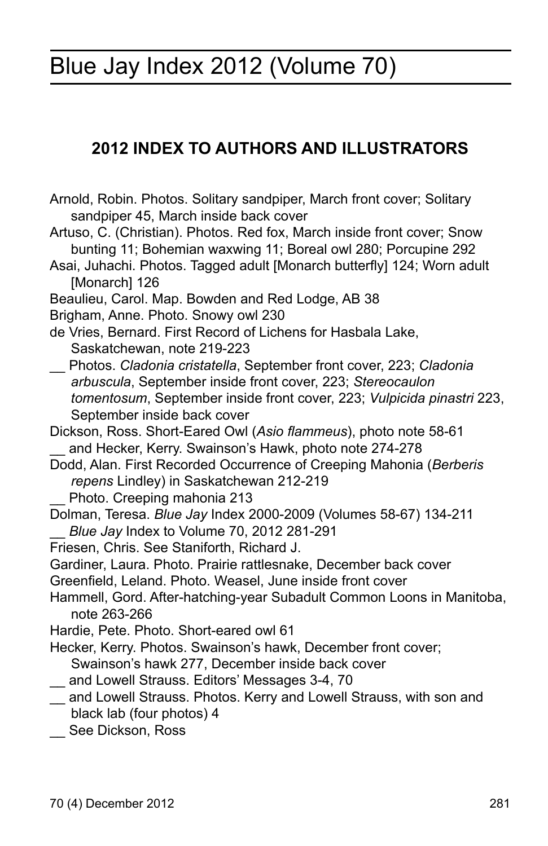# Blue Jay Index 2012 (Volume 70)

# **2012 INDEX TO AUTHORS AND ILLUSTRATORS**

- Arnold, Robin. Photos. Solitary sandpiper, March front cover; Solitary sandpiper 45, March inside back cover
- Artuso, C. (Christian). Photos. Red fox, March inside front cover; Snow bunting 11; Bohemian waxwing 11; Boreal owl 280; Porcupine 292
- Asai, Juhachi. Photos. Tagged adult [Monarch butterfly] 124; Worn adult [Monarch] 126
- Beaulieu, Carol. Map. Bowden and Red Lodge, AB 38
- Brigham, Anne. Photo. Snowy owl 230
- de Vries, Bernard. First Record of Lichens for Hasbala Lake, Saskatchewan, note 219-223
- \_\_ Photos. *Cladonia cristatella*, September front cover, 223; *Cladonia arbuscula*, September inside front cover, 223; *Stereocaulon tomentosum*, September inside front cover, 223; *Vulpicida pinastri* 223, September inside back cover
- Dickson, Ross. Short-Eared Owl (*Asio flammeus*), photo note 58-61 and Hecker, Kerry. Swainson's Hawk, photo note 274-278
- Dodd, Alan. First Recorded Occurrence of Creeping Mahonia (*Berberis repens* Lindley) in Saskatchewan 212-219
	- Photo. Creeping mahonia 213
- Dolman, Teresa. *Blue Jay* Index 2000-2009 (Volumes 58-67) 134-211 \_\_ *Blue Jay* Index to Volume 70, 2012 281-291
- Friesen, Chris. See Staniforth, Richard J.
- Gardiner, Laura. Photo. Prairie rattlesnake, December back cover
- Greenfield, Leland. Photo. Weasel, June inside front cover
- Hammell, Gord. After-hatching-year Subadult Common Loons in Manitoba, note 263-266
- Hardie, Pete. Photo. Short-eared owl 61
- Hecker, Kerry. Photos. Swainson's hawk, December front cover; Swainson's hawk 277, December inside back cover
- \_\_ and Lowell Strauss. Editors' Messages 3-4, 70
- \_\_ and Lowell Strauss. Photos. Kerry and Lowell Strauss, with son and black lab (four photos) 4
- \_\_ See Dickson, Ross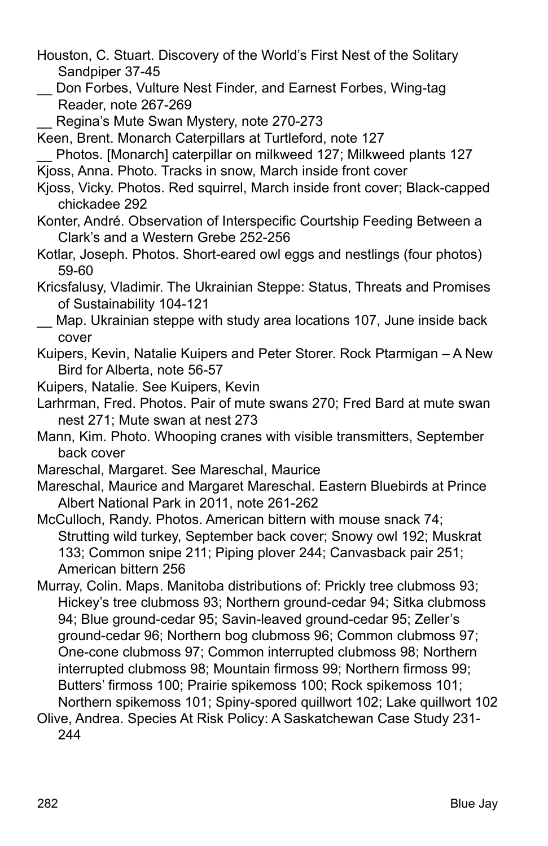- Houston, C. Stuart. Discovery of the World's First Nest of the Solitary Sandpiper 37-45
- \_\_ Don Forbes, Vulture Nest Finder, and Earnest Forbes, Wing-tag Reader, note 267-269
- Regina's Mute Swan Mystery, note 270-273

Keen, Brent. Monarch Caterpillars at Turtleford, note 127

\_\_ Photos. [Monarch] caterpillar on milkweed 127; Milkweed plants 127 Kjoss, Anna. Photo. Tracks in snow, March inside front cover

- Kjoss, Vicky. Photos. Red squirrel, March inside front cover; Black-capped chickadee 292
- Konter, André. Observation of Interspecific Courtship Feeding Between a Clark's and a Western Grebe 252-256
- Kotlar, Joseph. Photos. Short-eared owl eggs and nestlings (four photos) 59-60
- Kricsfalusy, Vladimir. The Ukrainian Steppe: Status, Threats and Promises of Sustainability 104-121
- \_\_ Map. Ukrainian steppe with study area locations 107, June inside back cover
- Kuipers, Kevin, Natalie Kuipers and Peter Storer. Rock Ptarmigan A New Bird for Alberta, note 56-57
- Kuipers, Natalie. See Kuipers, Kevin
- Larhrman, Fred. Photos. Pair of mute swans 270; Fred Bard at mute swan nest 271; Mute swan at nest 273
- Mann, Kim. Photo. Whooping cranes with visible transmitters, September back cover
- Mareschal, Margaret. See Mareschal, Maurice
- Mareschal, Maurice and Margaret Mareschal. Eastern Bluebirds at Prince Albert National Park in 2011, note 261-262
- McCulloch, Randy. Photos. American bittern with mouse snack 74; Strutting wild turkey, September back cover; Snowy owl 192; Muskrat 133; Common snipe 211; Piping plover 244; Canvasback pair 251; American bittern 256
- Murray, Colin. Maps. Manitoba distributions of: Prickly tree clubmoss 93; Hickey's tree clubmoss 93; Northern ground-cedar 94; Sitka clubmoss 94; Blue ground-cedar 95; Savin-leaved ground-cedar 95; Zeller's ground-cedar 96; Northern bog clubmoss 96; Common clubmoss 97; One-cone clubmoss 97; Common interrupted clubmoss 98; Northern interrupted clubmoss 98; Mountain firmoss 99; Northern firmoss 99; Butters' firmoss 100; Prairie spikemoss 100; Rock spikemoss 101; Northern spikemoss 101; Spiny-spored quillwort 102; Lake quillwort 102
- Olive, Andrea. Species At Risk Policy: A Saskatchewan Case Study 231- 244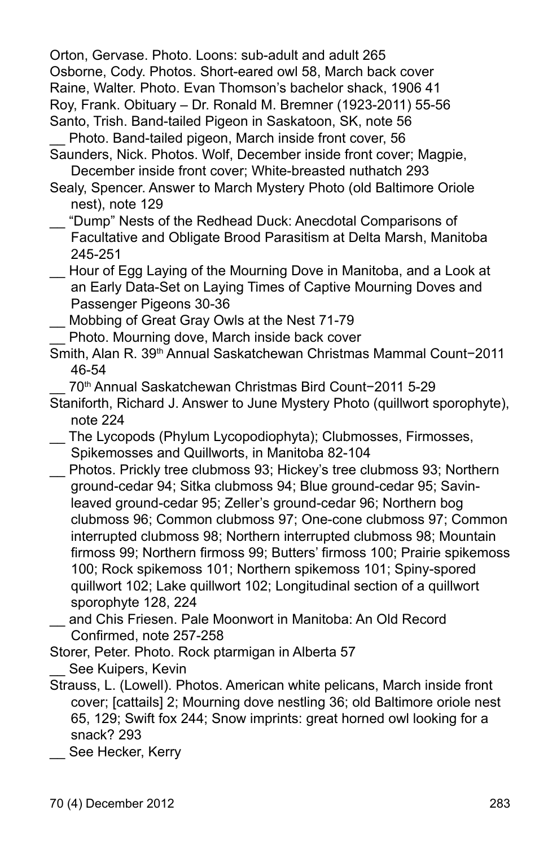Orton, Gervase. Photo. Loons: sub-adult and adult 265 Osborne, Cody. Photos. Short-eared owl 58, March back cover Raine, Walter. Photo. Evan Thomson's bachelor shack, 1906 41 Roy, Frank. Obituary – Dr. Ronald M. Bremner (1923-2011) 55-56 Santo, Trish. Band-tailed Pigeon in Saskatoon, SK, note 56

- Photo. Band-tailed pigeon, March inside front cover, 56
- Saunders, Nick. Photos. Wolf, December inside front cover; Magpie, December inside front cover; White-breasted nuthatch 293
- Sealy, Spencer. Answer to March Mystery Photo (old Baltimore Oriole nest), note 129
- \_\_ "Dump" Nests of the Redhead Duck: Anecdotal Comparisons of Facultative and Obligate Brood Parasitism at Delta Marsh, Manitoba 245-251
- Hour of Egg Laying of the Mourning Dove in Manitoba, and a Look at an Early Data-Set on Laying Times of Captive Mourning Doves and Passenger Pigeons 30-36
- Mobbing of Great Gray Owls at the Nest 71-79
- \_\_ Photo. Mourning dove, March inside back cover
- Smith, Alan R. 39th Annual Saskatchewan Christmas Mammal Count−2011 46-54
- \_\_ 70th Annual Saskatchewan Christmas Bird Count−2011 5-29
- Staniforth, Richard J. Answer to June Mystery Photo (quillwort sporophyte), note 224
- \_\_ The Lycopods (Phylum Lycopodiophyta); Clubmosses, Firmosses, Spikemosses and Quillworts, in Manitoba 82-104
- Photos. Prickly tree clubmoss 93; Hickey's tree clubmoss 93; Northern ground-cedar 94; Sitka clubmoss 94; Blue ground-cedar 95; Savinleaved ground-cedar 95; Zeller's ground-cedar 96; Northern bog clubmoss 96; Common clubmoss 97; One-cone clubmoss 97; Common interrupted clubmoss 98; Northern interrupted clubmoss 98; Mountain firmoss 99; Northern firmoss 99; Butters' firmoss 100; Prairie spikemoss 100; Rock spikemoss 101; Northern spikemoss 101; Spiny-spored quillwort 102; Lake quillwort 102; Longitudinal section of a quillwort sporophyte 128, 224
- and Chis Friesen. Pale Moonwort in Manitoba: An Old Record Confirmed, note 257-258
- Storer, Peter. Photo. Rock ptarmigan in Alberta 57 See Kuipers, Kevin
- Strauss, L. (Lowell). Photos. American white pelicans, March inside front cover; [cattails] 2; Mourning dove nestling 36; old Baltimore oriole nest 65, 129; Swift fox 244; Snow imprints: great horned owl looking for a snack? 293
	- See Hecker, Kerry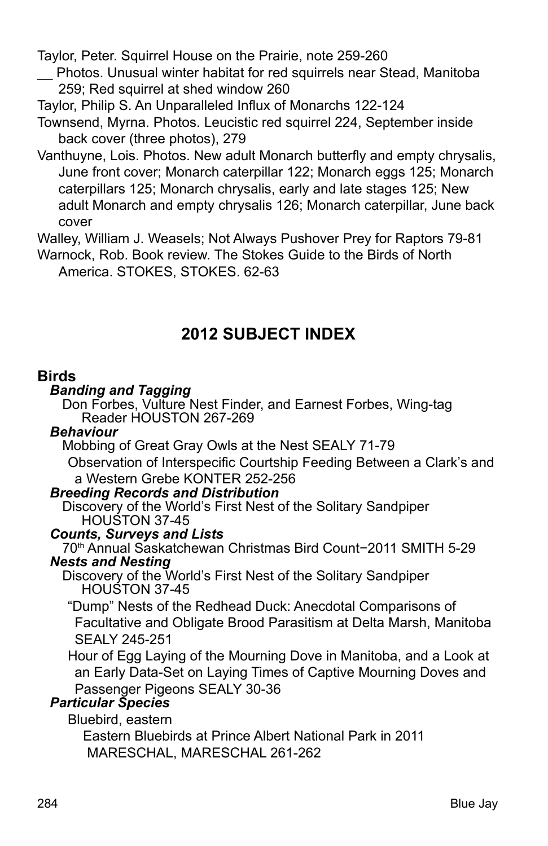Taylor, Peter. Squirrel House on the Prairie, note 259-260

\_\_ Photos. Unusual winter habitat for red squirrels near Stead, Manitoba 259; Red squirrel at shed window 260

Taylor, Philip S. An Unparalleled Influx of Monarchs 122-124

- Townsend, Myrna. Photos. Leucistic red squirrel 224, September inside back cover (three photos), 279
- Vanthuyne, Lois. Photos. New adult Monarch butterfly and empty chrysalis, June front cover; Monarch caterpillar 122; Monarch eggs 125; Monarch caterpillars 125; Monarch chrysalis, early and late stages 125; New adult Monarch and empty chrysalis 126; Monarch caterpillar, June back cover

Walley, William J. Weasels; Not Always Pushover Prey for Raptors 79-81

Warnock, Rob. Book review. The Stokes Guide to the Birds of North America. STOKES, STOKES. 62-63

# **2012 SUBJECT INDEX**

#### **Birds**

#### *Banding and Tagging*

Don Forbes, Vulture Nest Finder, and Earnest Forbes, Wing-tag Reader HOUSTON 267-269

#### *Behaviour*

Mobbing of Great Gray Owls at the Nest SEALY 71-79

Observation of Interspecific Courtship Feeding Between a Clark's and a Western Grebe KONTER 252-256

#### *Breeding Records and Distribution*

Discovery of the World's First Nest of the Solitary Sandpiper HOUSTON 37-45

#### *Counts, Surveys and Lists*

70th Annual Saskatchewan Christmas Bird Count−2011 SMITH 5-29

# *Nests and Nesting*

Discovery of the World's First Nest of the Solitary Sandpiper HOUSTON 37-45

"Dump" Nests of the Redhead Duck: Anecdotal Comparisons of Facultative and Obligate Brood Parasitism at Delta Marsh, Manitoba SEALY 245-251

 Hour of Egg Laying of the Mourning Dove in Manitoba, and a Look at an Early Data-Set on Laying Times of Captive Mourning Doves and Passenger Pigeons SEALY 30-36

#### *Particular Species*

Bluebird, eastern

Eastern Bluebirds at Prince Albert National Park in 2011 MARESCHAL, MARESCHAL 261-262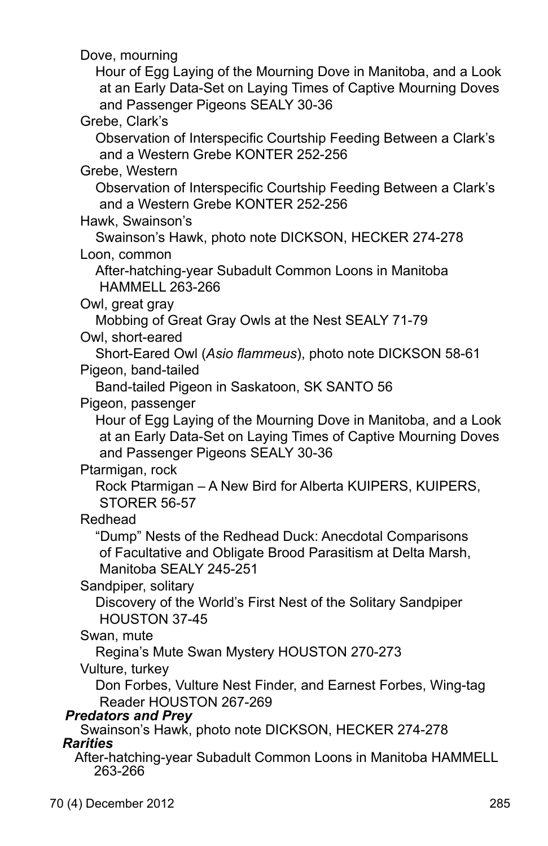Dove, mourning Hour of Egg Laying of the Mourning Dove in Manitoba, and a Look at an Early Data-Set on Laying Times of Captive Mourning Doves and Passenger Pigeons SEALY 30-36 Grebe, Clark's Observation of Interspecific Courtship Feeding Between a Clark's and a Western Grebe KONTER 252-256 Grebe, Western Observation of Interspecific Courtship Feeding Between a Clark's and a Western Grebe KONTER 252-256 Hawk, Swainson's Swainson's Hawk, photo note DICKSON, HECKER 274-278 Loon, common After-hatching-year Subadult Common Loons in Manitoba HAMMELL 263-266 Owl, great gray Mobbing of Great Gray Owls at the Nest SEALY 71-79 Owl, short-eared Short-Eared Owl (*Asio flammeus*), photo note DICKSON 58-61 Pigeon, band-tailed Band-tailed Pigeon in Saskatoon, SK SANTO 56 Pigeon, passenger Hour of Egg Laying of the Mourning Dove in Manitoba, and a Look at an Early Data-Set on Laying Times of Captive Mourning Doves and Passenger Pigeons SEALY 30-36 Ptarmigan, rock Rock Ptarmigan – A New Bird for Alberta KUIPERS, KUIPERS, STORER 56-57 Redhead "Dump" Nests of the Redhead Duck: Anecdotal Comparisons of Facultative and Obligate Brood Parasitism at Delta Marsh, Manitoba SEALY 245-251 Sandpiper, solitary Discovery of the World's First Nest of the Solitary Sandpiper HOUSTON 37-45 Swan, mute Regina's Mute Swan Mystery HOUSTON 270-273 Vulture, turkey Don Forbes, Vulture Nest Finder, and Earnest Forbes, Wing-tag Reader HOUSTON 267-269 *Predators and Prey* Swainson's Hawk, photo note DICKSON, HECKER 274-278 *Rarities* After-hatching-year Subadult Common Loons in Manitoba HAMMELL 263-266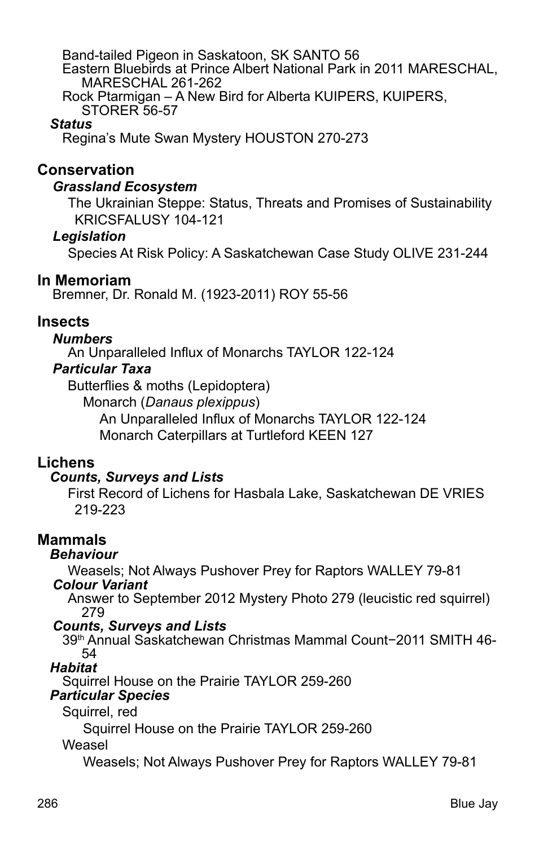Band-tailed Pigeon in Saskatoon, SK SANTO 56 Eastern Bluebirds at Prince Albert National Park in 2011 MARESCHAL, MARESCHAL 261-262 Rock Ptarmigan – A New Bird for Alberta KUIPERS, KUIPERS,

STORER 56-57

#### *Status*

Regina's Mute Swan Mystery HOUSTON 270-273

# **Conservation**

#### *Grassland Ecosystem*

 The Ukrainian Steppe: Status, Threats and Promises of Sustainability KRICSFALUSY 104-121

#### *Legislation*

Species At Risk Policy: A Saskatchewan Case Study OLIVE 231-244

# **In Memoriam**

Bremner, Dr. Ronald M. (1923-2011) ROY 55-56

## **Insects**

#### *Numbers*

An Unparalleled Influx of Monarchs TAYLOR 122-124

#### *Particular Taxa*

Butterflies & moths (Lepidoptera)

Monarch (*Danaus plexippus*)

An Unparalleled Influx of Monarchs TAYLOR 122-124 Monarch Caterpillars at Turtleford KEEN 127

# **Lichens**

#### *Counts, Surveys and Lists*

First Record of Lichens for Hasbala Lake, Saskatchewan DE VRIES 219-223

# **Mammals**

#### *Behaviour*

Weasels; Not Always Pushover Prey for Raptors WALLEY 79-81

#### *Colour Variant*

 Answer to September 2012 Mystery Photo 279 (leucistic red squirrel) 279

#### *Counts, Surveys and Lists*

 39th Annual Saskatchewan Christmas Mammal Count−2011 SMITH 46- 54

*Habitat*

Squirrel House on the Prairie TAYLOR 259-260

### *Particular Species*

Squirrel, red

Squirrel House on the Prairie TAYLOR 259-260

#### Weasel

Weasels; Not Always Pushover Prey for Raptors WALLEY 79-81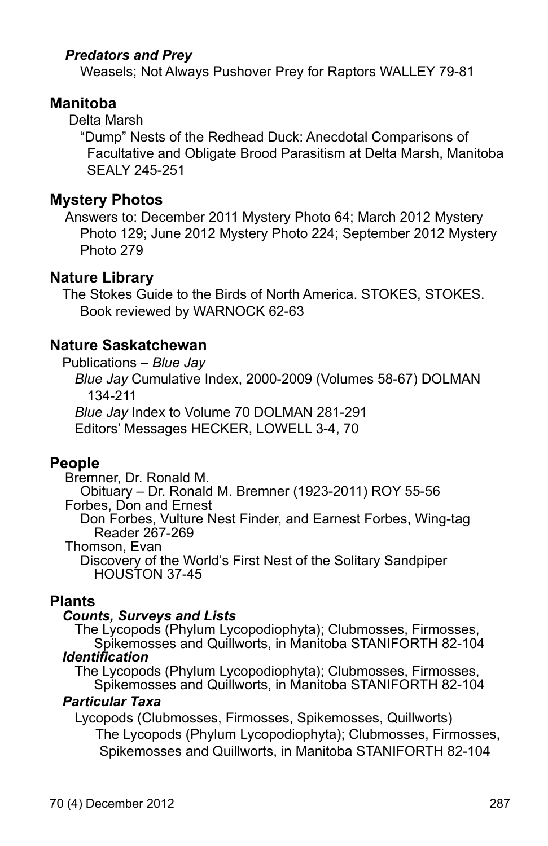## *Predators and Prey*

Weasels; Not Always Pushover Prey for Raptors WALLEY 79-81

# **Manitoba**

Delta Marsh

"Dump" Nests of the Redhead Duck: Anecdotal Comparisons of Facultative and Obligate Brood Parasitism at Delta Marsh, Manitoba SEALY 245-251

#### **Mystery Photos**

Answers to: December 2011 Mystery Photo 64; March 2012 Mystery Photo 129; June 2012 Mystery Photo 224; September 2012 Mystery Photo 279

#### $\overline{a}$ **Nature Library**

The Stokes Guide to the Birds of North America. STOKES, STOKES. Book reviewed by WARNOCK 62-63

# **Nature Saskatchewan**

Publications – *Blue Jay*

 *Blue Jay* Cumulative Index, 2000-2009 (Volumes 58-67) DOLMAN 134-211

*Blue Jay* Index to Volume 70 DOLMAN 281-291

Editors' Messages HECKER, LOWELL 3-4, 70

#### **People**

Bremner, Dr. Ronald M.

Obituary – Dr. Ronald M. Bremner (1923-2011) ROY 55-56 Forbes, Don and Ernest

Don Forbes, Vulture Nest Finder, and Earnest Forbes, Wing-tag Reader 267-269

Thomson, Evan

Discovery of the World's First Nest of the Solitary Sandpiper HOUSTON 37-45

#### **Plants**

#### *Counts, Surveys and Lists*

 The Lycopods (Phylum Lycopodiophyta); Clubmosses, Firmosses, Spikemosses and Quillworts, in Manitoba STANIFORTH 82-104 *Identification*

 The Lycopods (Phylum Lycopodiophyta); Clubmosses, Firmosses, Spikemosses and Quillworts, in Manitoba STANIFORTH 82-104

#### *Particular Taxa*

 Lycopods (Clubmosses, Firmosses, Spikemosses, Quillworts) The Lycopods (Phylum Lycopodiophyta); Clubmosses, Firmosses, Spikemosses and Quillworts, in Manitoba STANIFORTH 82-104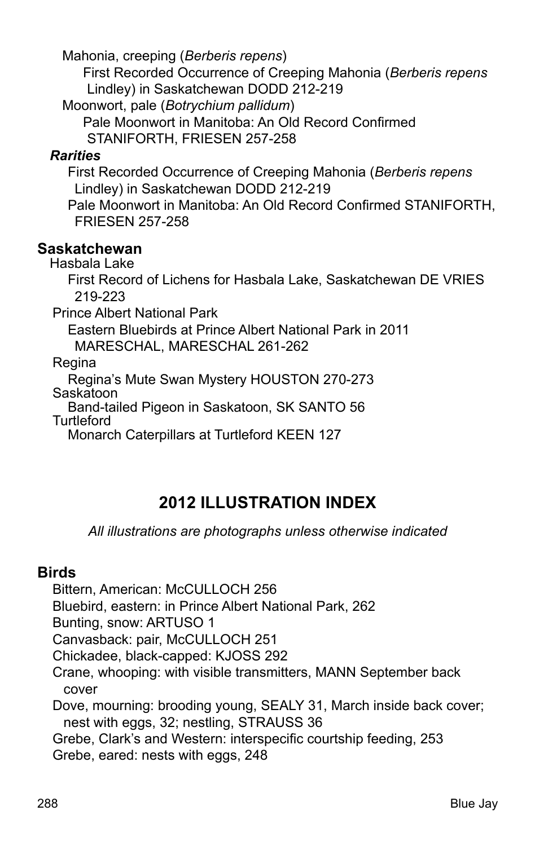Mahonia, creeping (*Berberis repens*)

 First Recorded Occurrence of Creeping Mahonia (*Berberis repens* Lindley) in Saskatchewan DODD 212-219

Moonwort, pale (*Botrychium pallidum*)

Pale Moonwort in Manitoba: An Old Record Confirmed

STANIFORTH, FRIESEN 257-258

# *Rarities*

First Recorded Occurrence of Creeping Mahonia (*Berberis repens* Lindley) in Saskatchewan DODD 212-219

Pale Moonwort in Manitoba: An Old Record Confirmed STANIFORTH, FRIESEN 257-258

## **Saskatchewan**

Hasbala Lake

First Record of Lichens for Hasbala Lake, Saskatchewan DE VRIES 219-223

Prince Albert National Park

Eastern Bluebirds at Prince Albert National Park in 2011 MARESCHAL, MARESCHAL 261-262

Regina

Regina's Mute Swan Mystery HOUSTON 270-273

Saskatoon

Band-tailed Pigeon in Saskatoon, SK SANTO 56 **Turtleford** 

Monarch Caterpillars at Turtleford KEEN 127

# **2012 ILLUSTRATION INDEX**

*All illustrations are photographs unless otherwise indicated*

# **Birds**

Bittern, American: McCULLOCH 256

Bluebird, eastern: in Prince Albert National Park, 262

Bunting, snow: ARTUSO 1

Canvasback: pair, McCULLOCH 251

Chickadee, black-capped: KJOSS 292

Crane, whooping: with visible transmitters, MANN September back cover

Dove, mourning: brooding young, SEALY 31, March inside back cover; nest with eggs, 32; nestling, STRAUSS 36

Grebe, Clark's and Western: interspecific courtship feeding, 253 Grebe, eared: nests with eggs, 248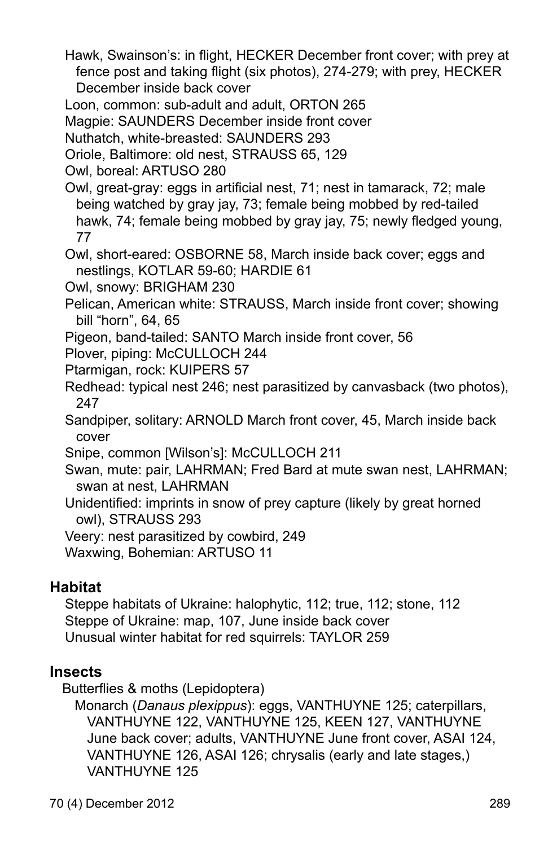Hawk, Swainson's: in flight, HECKER December front cover; with prey at fence post and taking flight (six photos), 274-279; with prey, HECKER December inside back cover

Loon, common: sub-adult and adult, ORTON 265

Magpie: SAUNDERS December inside front cover

Nuthatch, white-breasted: SAUNDERS 293

Oriole, Baltimore: old nest, STRAUSS 65, 129

Owl, boreal: ARTUSO 280

Owl, great-gray: eggs in artificial nest, 71; nest in tamarack, 72; male being watched by gray jay, 73; female being mobbed by red-tailed hawk, 74; female being mobbed by gray jay, 75; newly fledged young, 77

Owl, short-eared: OSBORNE 58, March inside back cover; eggs and nestlings, KOTLAR 59-60; HARDIE 61

Owl, snowy: BRIGHAM 230

Pelican, American white: STRAUSS, March inside front cover; showing bill "horn", 64, 65

Pigeon, band-tailed: SANTO March inside front cover, 56

Plover, piping: McCULLOCH 244

- Ptarmigan, rock: KUIPERS 57
- Redhead: typical nest 246; nest parasitized by canvasback (two photos), 247

Sandpiper, solitary: ARNOLD March front cover, 45, March inside back cover

Snipe, common [Wilson's]: McCULLOCH 211

Swan, mute: pair, LAHRMAN; Fred Bard at mute swan nest, LAHRMAN; swan at nest, LAHRMAN

Unidentified: imprints in snow of prey capture (likely by great horned owl), STRAUSS 293

Veery: nest parasitized by cowbird, 249

Waxwing, Bohemian: ARTUSO 11

# **Habitat**

Steppe habitats of Ukraine: halophytic, 112; true, 112; stone, 112 Steppe of Ukraine: map, 107, June inside back cover Unusual winter habitat for red squirrels: TAYLOR 259

# **Insects**

Butterflies & moths (Lepidoptera)

 Monarch (*Danaus plexippus*): eggs, VANTHUYNE 125; caterpillars, VANTHUYNE 122, VANTHUYNE 125, KEEN 127, VANTHUYNE June back cover; adults, VANTHUYNE June front cover, ASAI 124, VANTHUYNE 126, ASAI 126; chrysalis (early and late stages,) VANTHUYNE 125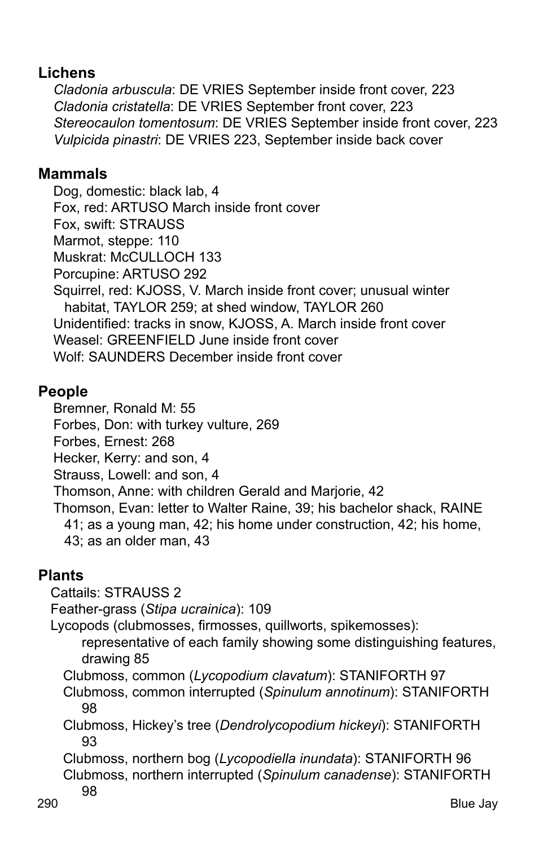# **Lichens**

*Cladonia arbuscula*: DE VRIES September inside front cover, 223 *Cladonia cristatella*: DE VRIES September front cover, 223 *Stereocaulon tomentosum*: DE VRIES September inside front cover, 223 *Vulpicida pinastri*: DE VRIES 223, September inside back cover

# **Mammals**

Dog, domestic: black lab, 4 Fox, red: ARTUSO March inside front cover Fox, swift: STRAUSS Marmot, steppe: 110 Muskrat: McCULLOCH 133 Porcupine: ARTUSO 292 Squirrel, red: KJOSS, V. March inside front cover; unusual winter habitat, TAYLOR 259; at shed window, TAYLOR 260 Unidentified: tracks in snow, KJOSS, A. March inside front cover Weasel: GREENFIELD June inside front cover Wolf: SAUNDERS December inside front cover

# **People**

Bremner, Ronald M: 55

Forbes, Don: with turkey vulture, 269

Forbes, Ernest: 268

Hecker, Kerry: and son, 4

Strauss, Lowell: and son, 4

Thomson, Anne: with children Gerald and Marjorie, 42

Thomson, Evan: letter to Walter Raine, 39; his bachelor shack, RAINE 41; as a young man, 42; his home under construction, 42; his home, 43; as an older man, 43

# **Plants**

Cattails: STRAUSS 2

Feather-grass (*Stipa ucrainica*): 109

Lycopods (clubmosses, firmosses, quillworts, spikemosses):

representative of each family showing some distinguishing features, drawing 85

Clubmoss, common (*Lycopodium clavatum*): STANIFORTH 97

 Clubmoss, common interrupted (*Spinulum annotinum*): STANIFORTH 98

 Clubmoss, Hickey's tree (*Dendrolycopodium hickeyi*): STANIFORTH 93

 Clubmoss, northern bog (*Lycopodiella inundata*): STANIFORTH 96 Clubmoss, northern interrupted (*Spinulum canadense*): STANIFORTH 98